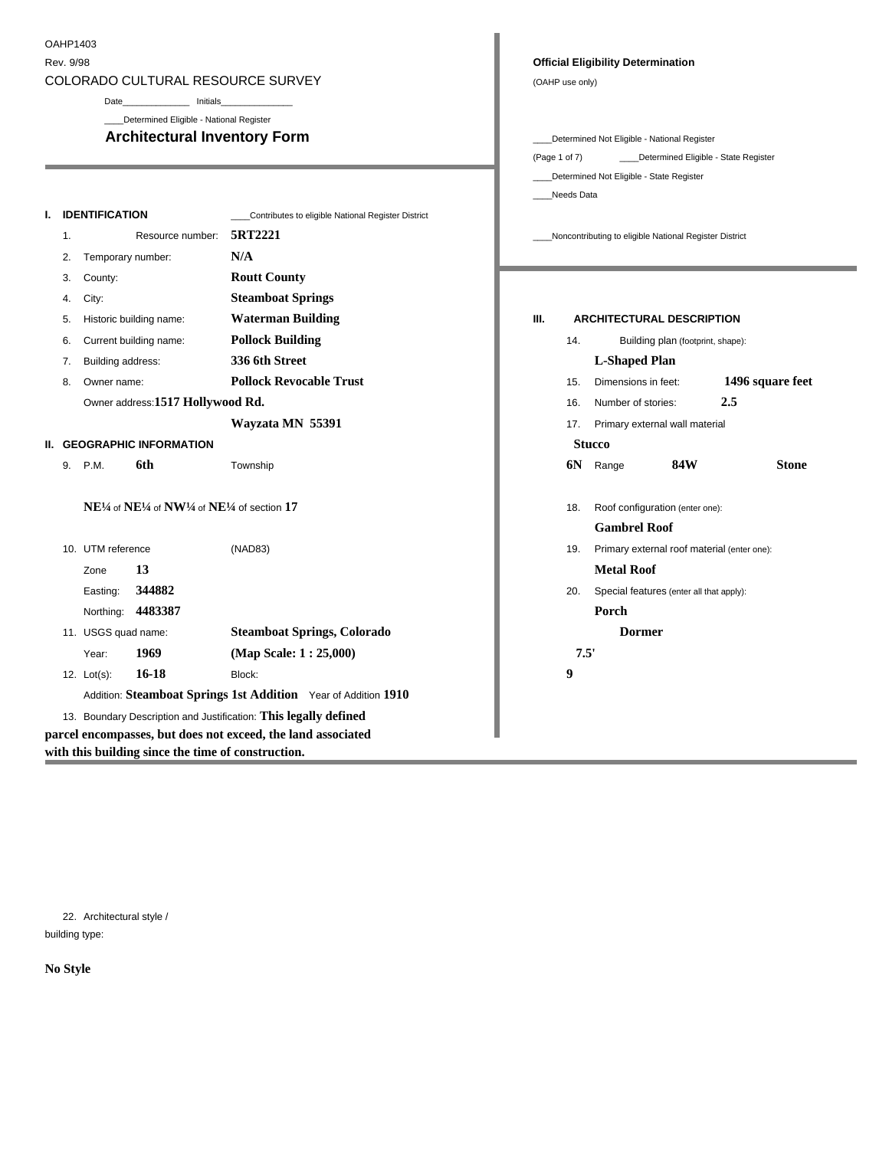### OAHP1403

r.

# COLORADO CULTURAL RESOURCE SURVEY **COLORADO** CULTURAL RESOURCE SURVEY

| I. IDENTIFICATION                                                    | ___Contributes to eligible National Register District            |                                                            |
|----------------------------------------------------------------------|------------------------------------------------------------------|------------------------------------------------------------|
|                                                                      | Resource number: 5RT2221                                         | ____Noncontributing to eligible National Register District |
| 2. Temporary number:                                                 | N/A                                                              |                                                            |
| 3. County:                                                           | <b>Routt County</b>                                              |                                                            |
| 4. City:                                                             | <b>Steamboat Springs</b>                                         |                                                            |
| 5. Historic building name:                                           | <b>Waterman Building</b>                                         | III. ARCHITECTURAL DESCRIPTION                             |
| 6. Current building name:                                            | <b>Pollock Building</b>                                          | Building plan (footprint, shape):                          |
| 7. Building address:                                                 | 336 6th Street                                                   | L-Shaped Plan                                              |
| 8. Owner name:                                                       | <b>Pollock Revocable Trust</b>                                   | 1496 square feet<br>15. Dimensions in feet:                |
| Owner address:1517 Hollywood Rd.                                     |                                                                  | 2.5<br>16. Number of stories:                              |
|                                                                      | Wayzata MN 55391                                                 | 17. Primary external wall material                         |
| II. GEOGRAPHIC INFORMATION                                           |                                                                  | <b>Stucco</b>                                              |
| 9. P.M. 6th                                                          | Township                                                         | <b>84W</b><br>6N Range<br><b>Stone</b>                     |
|                                                                      |                                                                  |                                                            |
| $NE^{1/4}$ of $NE^{1/4}$ of $NW^{1/4}$ of $NE^{1/4}$ of section $17$ |                                                                  | 18. Roof configuration (enter one):                        |
|                                                                      |                                                                  | <b>Gambrel Roof</b>                                        |
| 10. UTM reference                                                    | (NAD83)                                                          | 19. Primary external roof material (enter one):            |
| Zone $13$                                                            |                                                                  | <b>Metal Roof</b>                                          |
| Easting: 344882                                                      |                                                                  | 20. Special features (enter all that apply):               |
| Northing: 4483387                                                    |                                                                  | Porch                                                      |
| 11. USGS quad name:                                                  | <b>Steamboat Springs, Colorado</b>                               | <b>Dormer</b>                                              |
| Year: 1969                                                           | (Map Scale: 1:25,000)                                            | 7.5'                                                       |
| 12. Lot(s): 16-18                                                    | Block:                                                           |                                                            |
|                                                                      | Addition: Steamboat Springs 1st Addition Year of Addition 1910   |                                                            |
|                                                                      | 13. Boundary Description and Justification: This legally defined |                                                            |
|                                                                      | parcel encompasses, but does not exceed, the land associated     |                                                            |
| with this building since the time of construction.                   |                                                                  |                                                            |

#### Rev. 9/98 **Official Eligibility Determination**

| Date                                    |                                                                                      |                                                                                           |
|-----------------------------------------|--------------------------------------------------------------------------------------|-------------------------------------------------------------------------------------------|
| Determined Eligible - National Register |                                                                                      |                                                                                           |
|                                         | <b>Architectural Inventory Form</b>                                                  | ____Determined Not Eligible - National Register                                           |
|                                         |                                                                                      | (Page 1 of 7) ________Determined Eligible - State Register                                |
|                                         |                                                                                      | ____Determined Not Eligible - State Register                                              |
|                                         |                                                                                      | Needs Data                                                                                |
| <b>ICATION</b>                          | ____Contributes to eligible National Register District                               |                                                                                           |
|                                         | Resource number: 5RT2221                                                             | ____Noncontributing to eligible National Register District                                |
| porary number:                          | N/A                                                                                  |                                                                                           |
| ity:                                    | <b>Routt County</b>                                                                  | the control of the control of the control of the control of the control of the control of |
|                                         | <b>Steamboat Springs</b>                                                             |                                                                                           |
| vric building name:                     | <b>Waterman Building</b>                                                             | <b>ARCHITECTURAL DESCRIPTION</b><br>$\mathbf{III}$ .                                      |
| ent building name:                      | <b>Pollock Building</b>                                                              | Building plan (footprint, shape):<br>14.                                                  |
|                                         |                                                                                      |                                                                                           |
| ling address:                           | 336 6th Street                                                                       | L-Shaped Plan                                                                             |
| er name:                                | <b>Pollock Revocable Trust</b>                                                       | 1496 square feet<br>15. Dimensions in feet:                                               |
| er address:1517 Hollywood Rd.           |                                                                                      | 2.5<br>16. Number of stories:                                                             |
|                                         | Wayzata MN 55391                                                                     | 17. Primary external wall material                                                        |
| <b>APHIC INFORMATION</b>                |                                                                                      | <b>Stucco</b>                                                                             |
| 6th                                     | Township                                                                             | <b>84W</b><br>6N Range<br><b>Stone</b>                                                    |
|                                         |                                                                                      |                                                                                           |
|                                         | $4$ of $\rm NE^{1\!\!}/$ 4 of $\rm NW^{1\!}/$ 4 of $\rm NE^{1\!}/$ 4 of section $17$ | 18. Roof configuration (enter one):                                                       |
|                                         |                                                                                      | <b>Gambrel Roof</b>                                                                       |
|                                         | (NAD83)                                                                              |                                                                                           |
| reference                               |                                                                                      | 19. Primary external roof material (enter one):                                           |
| $\cdot$ 13                              |                                                                                      | <b>Metal Roof</b>                                                                         |
| ing: 344882                             |                                                                                      | 20. Special features (enter all that apply):                                              |
| ning: 4483387                           |                                                                                      | Porch                                                                                     |
|                                         |                                                                                      |                                                                                           |

22. Architectural style / building type:

**No Style**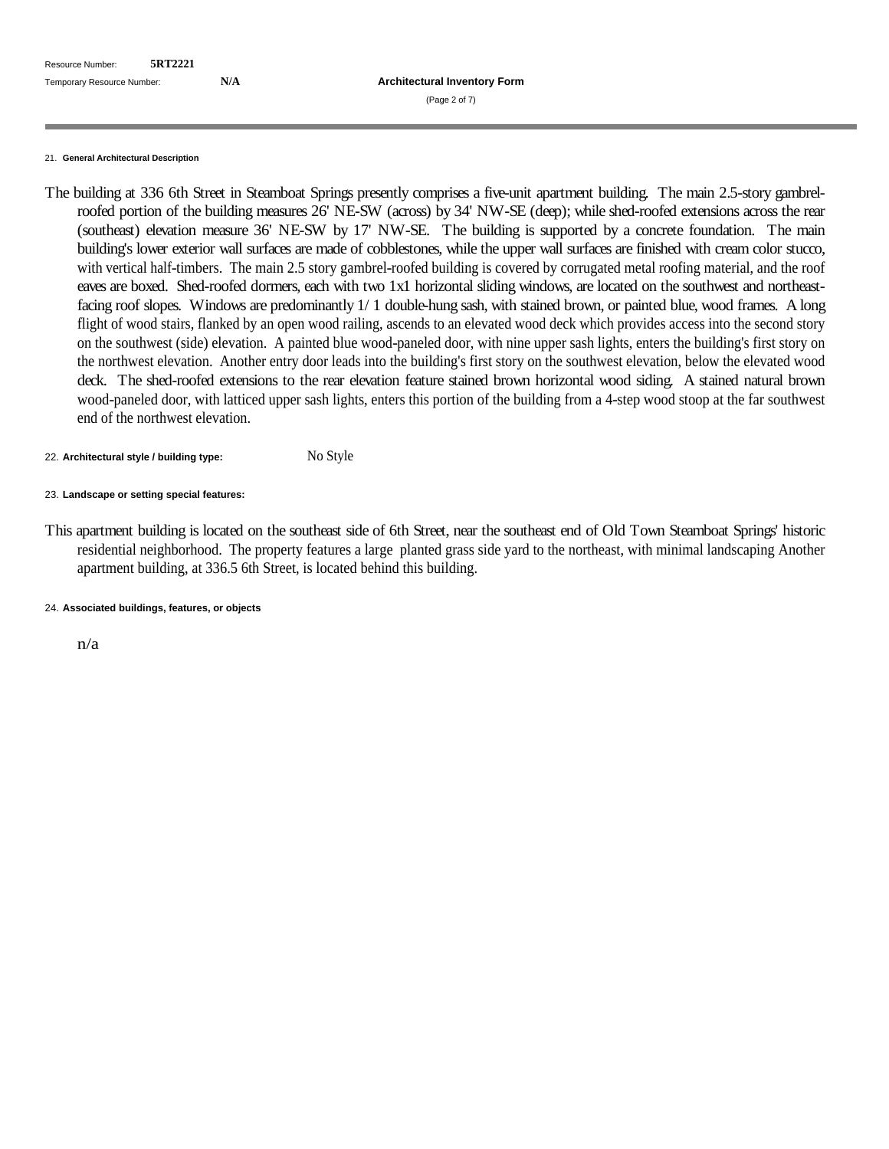| Resource Number: 5RT2221<br>Temporary Resource Number: |     |                                     |
|--------------------------------------------------------|-----|-------------------------------------|
|                                                        | N/A | <b>Architectural Inventory Form</b> |
|                                                        |     | (Page 2 of 7)                       |
|                                                        |     |                                     |
|                                                        |     |                                     |

#### 21. **General Architectural Description**

The building at 336 6th Street in Steamboat Springs presently comprises a five-unit apartment building. The main 2.5-story gambrelroofed portion of the building measures 26' NE-SW (across) by 34' NW-SE (deep); while shed-roofed extensions acrossthe rear (southeast) elevation measure 36' NE-SW by 17' NW-SE. The building is supported by a concrete foundation. The main building's lower exterior wall surfaces are made of cobblestones, while the upper wall surfaces are finished with cream color stucco, with vertical half-timbers. The main 2.5 story gambrel-roofed building is covered by corrugated metal roofing material, and the roof eaves are boxed. Shed-roofed dormers, each with two 1x1 horizontal sliding windows, are located on the southwest and northeastfacing roof slopes. Windows are predominantly 1/ 1 double-hung sash, with stained brown, or painted blue, wood frames. A long flight of wood stairs, flanked by an open wood railing, ascends to an elevated wood deck which provides access into the second story on the southwest (side) elevation. A painted blue wood-paneled door, with nine upper sash lights, enters the building's first story on the northwest elevation. Another entry door leads into the building's first story on the southwest elevation, below the elevated wood deck. The shed-roofed extensions to the rear elevation feature stained brown horizontal wood siding. A stained natural brown wood-paneled door, with latticed upper sash lights, enters this portion of the building from a 4-step wood stoop at the far southwest end of the northwest elevation.

## 22. **Architectural style / building type:** No Style

## 23. **Landscape or setting special features:**

This apartment building is located on the southeast side of 6th Street, near the southeast end of Old Town Steamboat Springs' historic residential neighborhood. The property features a large planted grass side yard to the northeast, with minimal landscaping Another apartment building, at 336.5 6th Street, is located behind this building.

## 24. **Associated buildings, features, or objects**

n/a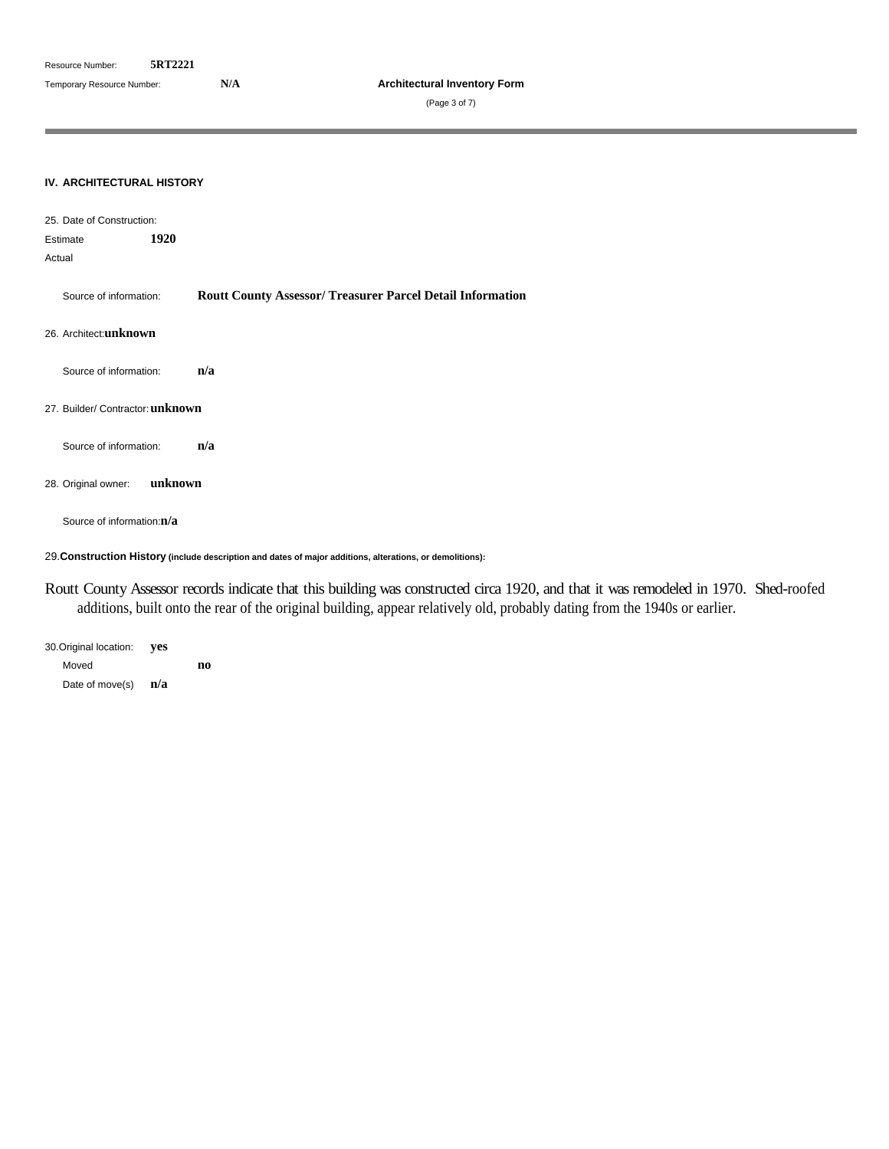(Page 3 of 7)

#### **IV. ARCHITECTURAL HISTORY**

| 25. Date of Construction:                                                                                 |  |
|-----------------------------------------------------------------------------------------------------------|--|
| 1920<br>Estimate                                                                                          |  |
| Actual                                                                                                    |  |
| <b>Routt County Assessor/ Treasurer Parcel Detail Information</b><br>Source of information:               |  |
| 26. Architect:unknown                                                                                     |  |
| Source of information:  n/a                                                                               |  |
| 27. Builder/ Contractor: unknown                                                                          |  |
| Source of information:  n/a                                                                               |  |
| 28. Original owner: unknown                                                                               |  |
| Source of information:n/a                                                                                 |  |
| 29. Construction History (include description and dates of major additions, alterations, or demolitions): |  |

Routt County Assessor records indicate that this building was constructed circa 1920, and that it was remodeled in 1970. Shed-roofed additions, built onto the rear of the original building, appear relatively old, probably dating from the 1940s or earlier.

30.Original location: **yes** Moved **no** Date of move(s) **n/a**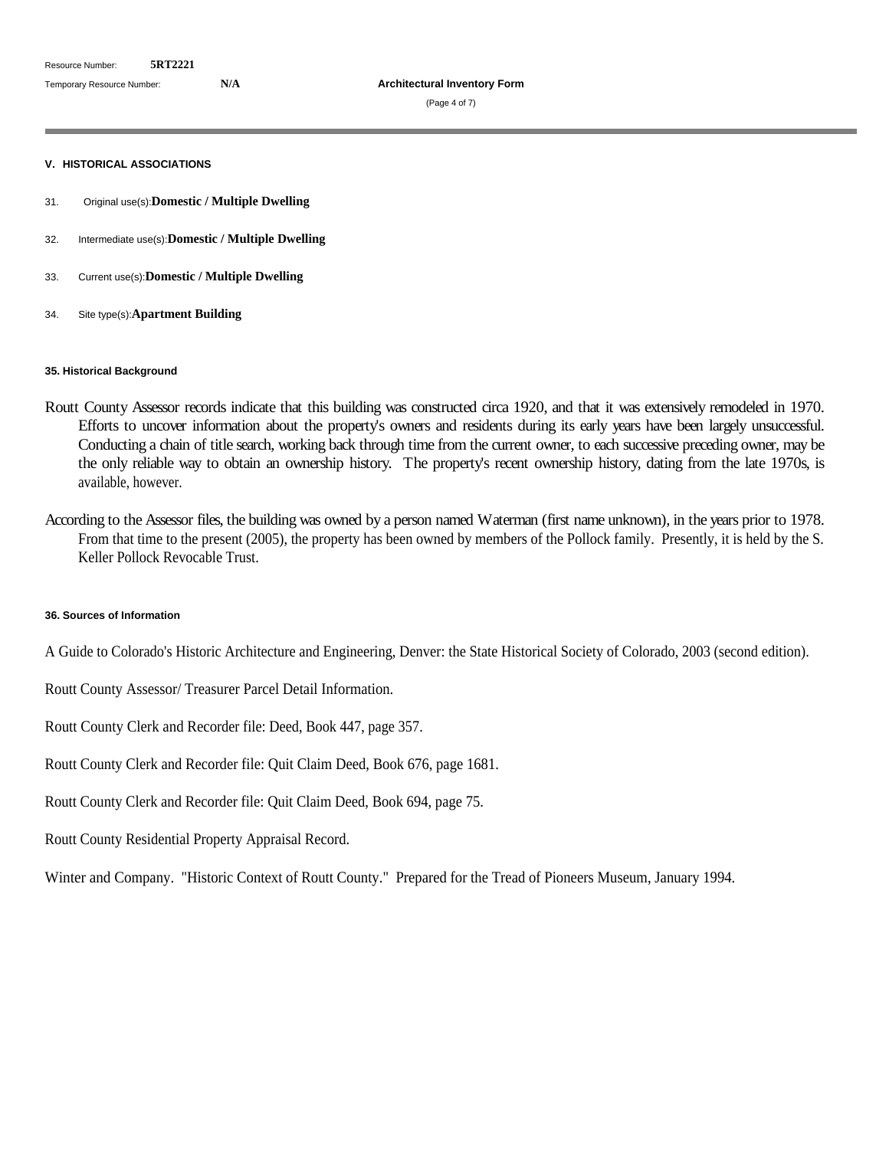### **V. HISTORICAL ASSOCIATIONS**

- 31. Original use(s):**Domestic / Multiple Dwelling**
- 32. Intermediate use(s):**Domestic / Multiple Dwelling**
- 33. Current use(s):**Domestic / Multiple Dwelling**
- 34. Site type(s):**Apartment Building**

## **35. Historical Background**

- Routt County Assessor records indicate that this building was constructed circa 1920, and that it was extensively remodeled in 1970. Efforts to uncover information about the property's owners and residents during its early years have been largely unsuccessful. Conducting a chain of title search, working back through time from the current owner, to each successive preceding owner, may be the only reliable way to obtain an ownership history. The property's recent ownership history, dating from the late 1970s, is available, however.
- According to the Assessor files, the building was owned by a person named Waterman (first name unknown), in the years prior to 1978. From that time to the present (2005), the property has been owned by members of the Pollock family. Presently, it is held by the S. Keller Pollock Revocable Trust.

#### **36. Sources of Information**

A Guide to Colorado's Historic Architecture and Engineering, Denver: the State Historical Society of Colorado, 2003 (second edition).

- Routt County Assessor/ Treasurer Parcel Detail Information.
- Routt County Clerk and Recorder file: Deed, Book 447, page 357.
- Routt County Clerk and Recorder file: Quit Claim Deed, Book 676, page 1681.
- Routt County Clerk and Recorder file: Quit Claim Deed, Book 694, page 75.
- Routt County Residential Property Appraisal Record.

Winter and Company. "Historic Context of Routt County." Prepared for the Tread of Pioneers Museum, January 1994.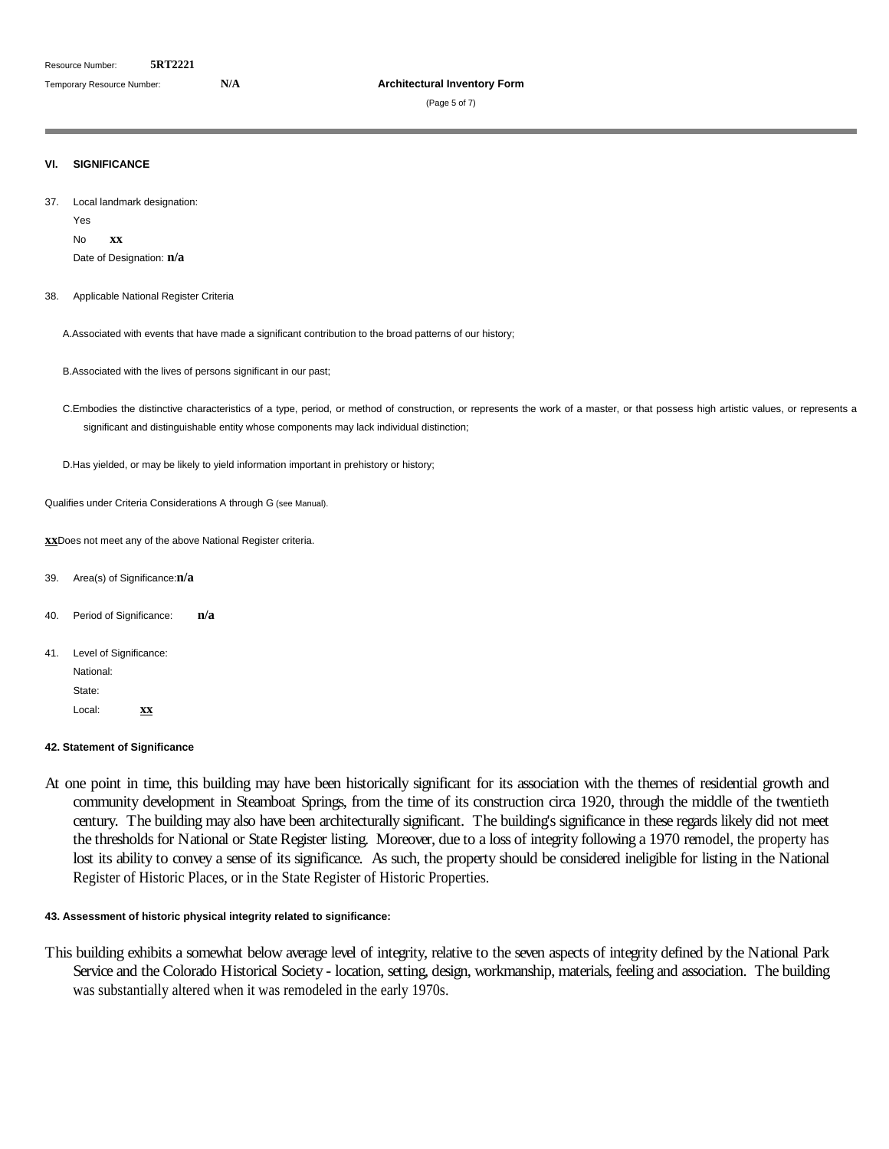(Page 5 of 7)

#### **VI. SIGNIFICANCE**

37. Local landmark designation:

Yes

No **xx**

Date of Designation: **n/a**

38. Applicable National Register Criteria

A.Associated with events that have made a significant contribution to the broad patterns of our history;

B.Associated with the lives of persons significant in our past;

C.Embodies the distinctive characteristics of a type, period, or method of construction, or represents the work of a master, or that possess high artisticvalues, or represents a significant and distinguishable entity whose components may lack individual distinction;

D.Has yielded, or may be likely to yield information important in prehistory or history;

Qualifies under Criteria Considerations A through G (see Manual).

**xx**Does not meet any of the above National Register criteria.

- 39. Area(s) of Significance:**n/a**
- 40. Period of Significance: **n/a**
- 41. Level of Significance: National: State: with the contract of the contract of the contract of the contract of the contract of the contract of the contract of the contract of the contract of the contract of the contract of the contract of the contract of th
	- Local: **xx**

### **42. Statement of Significance**

At one point in time, this building may have been historically significant for its association with the themes of residential growth and community development in Steamboat Springs, from the time of its construction circa 1920, through the middle of the twentieth century. The building may also have been architecturally significant. The building's significance in these regards likely did not meet the thresholds for National or State Register listing. Moreover, due to a loss of integrity following a 1970 remodel, the property has lost its ability to convey a sense of its significance. As such, the property should be considered ineligible for listing in the National Register of Historic Places, or in the State Register of Historic Properties.

## **43. Assessment of historic physical integrity related to significance:**

This building exhibits a somewhat below average level of integrity, relative to the seven aspects of integrity defined by the National Park Service and the Colorado Historical Society - location, setting, design, workmanship, materials, feeling and association. The building was substantially altered when it was remodeled in the early 1970s.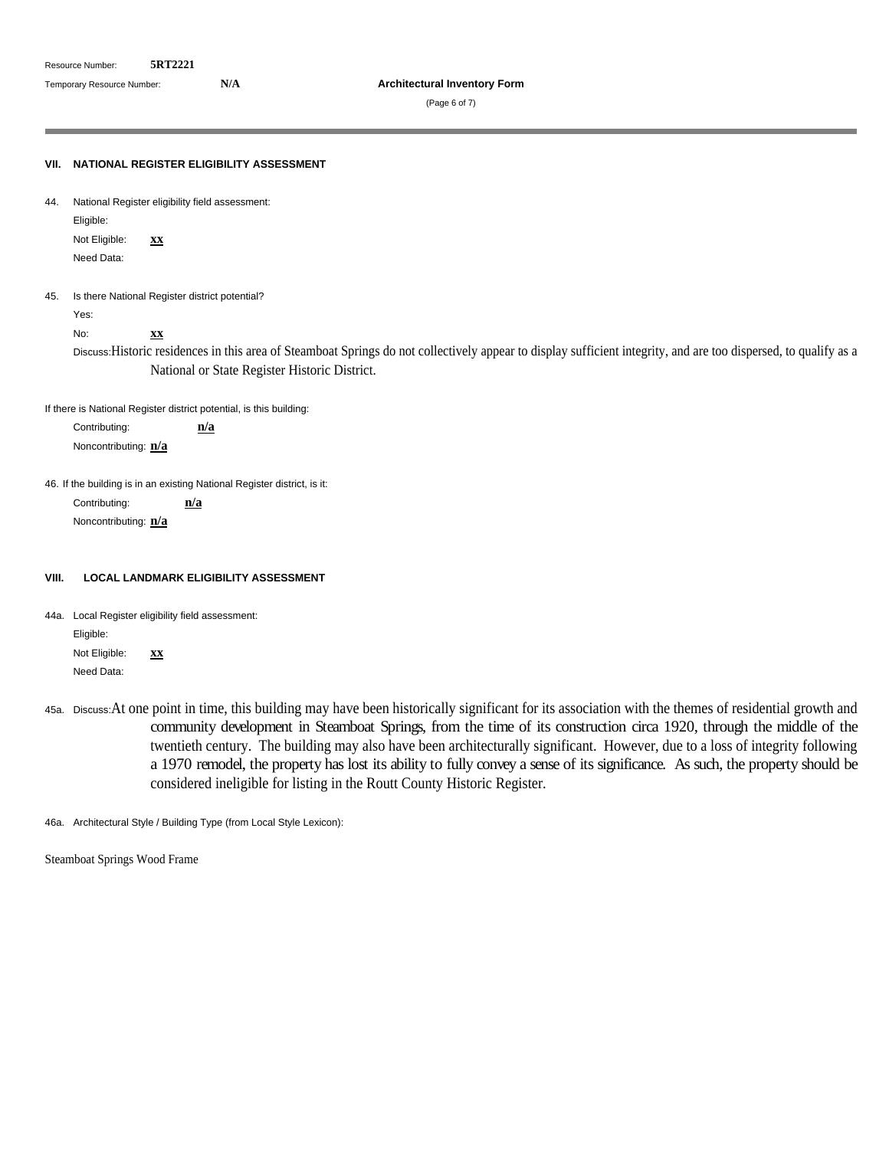(Page 6 of 7)

**VII. NATIONAL REGISTER ELIGIBILITY ASSESSMENT** 44. National Register eligibility field assessment: Eligible: Not Eligible: **xx** Need Data: 45. Is there National Register district potential? Yes: No: **xx** Discuss:Historic residences in this area of Steamboat Springs do not collectively appear to display sufficient integrity, and are too dispersed, to qualify as a National or State Register Historic District. If there is National Register district potential, is this building: Contributing: **n/a** Noncontributing: **n/a** 46. If the building is in an existing National Register district, is it: Contributing: **n/a** Noncontributing: **n/a VIII. LOCAL LANDMARK ELIGIBILITY ASSESSMENT** 44a. Local Register eligibility field assessment: Eligible: Not Eligible: **xx** Need Data:

45a. Discuss:At one point in time, this building may have been historically significant for its association with the themes of residential growth and community development in Steamboat Springs, from the time of its construction circa 1920, through the middle of the twentieth century. The building may also have been architecturally significant. However, due to a loss of integrity following a 1970 remodel, the property has lost its ability to fully convey a sense of its significance. As such, the property should be considered ineligible for listing in the Routt County Historic Register.

46a. Architectural Style / Building Type (from Local Style Lexicon):

Steamboat Springs Wood Frame